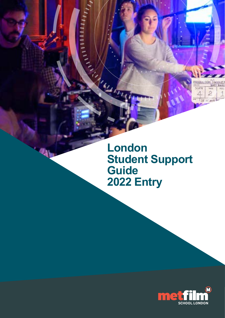

**London Student Support Guide 2022 Entry** 

**CONSTRUCTION** 

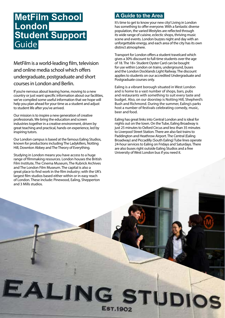# **MetFilm School London Student Support** Guide

MetFilm is a world-leading film, television and online media school which offers undergraduate, postgraduate and short courses in London and Berlin.

If you're nervous about leaving home, moving to a new country or just want specific information about our facilities, we've compiled some useful information that we hope will help you plan ahead for your time as a student and adjust to student life after you've arrived.

Our mission is to inspire a new generation of creative professionals. We bring the education and screen industries together in a creative environment, driven by great teaching and practical, hands-on experience, led by inspiring tutors.

Our London campus is based at the famous Ealing Studios, known for productions including The Ladykillers, Notting Hill, Downton Abbey and The Theory of Everything.

Studying in London means you have access to a huge range of filmmaking resources. London houses the British Film Institute, The Cinema Museum, The Kubrick Archives and The London Film Museum. The capital is also a great place to find work in the film industry; with the UK's largest film studios based either within or in easy reach of London. These include: Pinewood, Ealing, Shepperton and 3 Mills studios.

EALING STUDIOS

EST.1902

## **A Guide to the Area**

It's time to get to know your new city! Living in London has something to offer everyone. With a fantastic diverse population, the varied lifestyles are reflected through its wide range of cuisine, eclectic shops, thriving music scene and events. London buzzes night and day with an unforgettable energy, and each area of the city has its own distinct atmosphere.

Transport for London offers a student travelcard which gives a 30% discount to full-time students over the age of 18. The 18+ Student Oyster Card can be bought for use within London on trains, underground, buses and the London Docklands Light Railway. The discount applies to students on our accredited Undergraduate and Postgraduate courses only.

Ealing is a vibrant borough situated in West London and is home to a vast number of shops, bars, pubs and restaurants with something to suit every taste and budget. Also, on our doorstep is Notting Hill, Shepherd's Bush and Richmond. During the summer, Ealing's parks host a number of festivals celebrating comedy, music, beer and food.

Ealing has great links into Central London and is ideal for nights out on the town. On the Tube, Ealing Broadway is just 25 minutes to Oxford Circus and less than 35 minutes to Liverpool Street Station. There are also fast trains to Paddington and Heathrow Airport. The Central (Ealing Broadway) and Piccadilly (South Ealing) Tube lines operate 24-hour services to Ealing on Fridays and Saturdays. There are also buses right outside Ealing Studios and a free University of West London bus if you need it.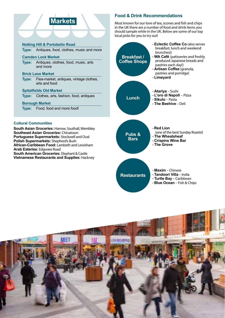# **Markets**

**Type:** Antiques, food, clothes, music and more

#### **Camden Lock Market**

**Type:** Antiques, clothes, food, music, arts and more

#### **Brick Lane Market**

**Type:** Flea-market, antiques, vintage clothes, arts and food

#### **Spitalfields Old Market**

**Type:** Clothes, arts, fashion, food, antiques

#### **Borough Market**

**Type:** Food, food and more food!

#### **Cultural Communities**

**South Asian Groceries:** Harrow, Southall, Wembley **Southeast Asian Groceries:** Chinatown **Portuguese Supermarkets:** Stockwell and Oval **Polish Supermarkets:** Shepherd's Bush **African-Caribbean Food:** Lambeth and Lewisham **Arab Eateries:** Edgware Road **South American Groceries:** Elephant & Castle **Vietnamese Restaurants and Supplies:** Hackney

### **Food & Drink Recommendations**

Most known for our love of tea, scones and fish and chips in the UK there are a number of food and drink items you should sample while in the UK. Below are some of our top local picks for you to try out!



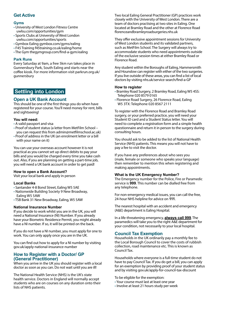### **Get Active**

#### **Gyms**

- University of West London Fitness Centre [uwlsu.com/opportunities/gym](http://uwlsu.com/opportunities/gym )
- Sports Clubs at University of West London [uwlsu.com/opportunities/sports](http://uwlsu.com/opportunities/sports)
- Gymbox Ealing [gymbox.com/gyms/ealing](http://gymbox.com/gyms/ealing)
- F45 Training [f45training.co.uk/ealing/home](http://f45training.co.uk/ealing/home)
- The Gym [thegymgroup.com/find-a-gym/ealing](http://thegymgroup.com/find-a-gym/ealing)

#### **Park Runs**

Every Saturday at 9am, a free 5km run takes place in Gunnersbury Park, South Ealing and starts near the coffee kiosk. For more information visit [parkrun.org.uk/](http://parkrun.org.uk/gunnersbury ) [gunnersbury](http://parkrun.org.uk/gunnersbury )

### **Settling into London**

**Open a UK Bank Account This should be one of the first things you do when have** registered for your course. You'll need money for rent, bills and sightseeing!

#### **You will need:**

- A valid passport and visa
- Proof of student status (a letter from MetFilm School you can request this from [admin@metfilmschool.ac.uk\)](mailto:admin%40metfilmschool.ac.uk?subject=)
- Proof of address in the UK (an enrolment letter or a bill with your name on it)

You can use your overseas account however it is not practical as you cannot set up direct debits to pay your bills and you would be charged every time you take cash out. Also, if you are planning on getting a part-time job, you will need a UK bank account in order to get paid!

#### **How to open a Bank Account?**

Visit your local bank and apply in person

#### **Local Banks**

- Santander 4-8 Bond Street, Ealing W5 5AE
- Nationwide Building Society 9 New Broadway, Ealing W5 5AW
- TSB Bank 31 New Broadway, Ealing, W5 5AW

#### **National Insurance Number**

If you decide to work whilst you are in the UK, you will need a National Insurance (NI) Number. If you already have your Biometric Residence Permit, you might already have a NI number. If so, it will be printed on the back.

If you do not have a NI number, you must apply for one to work. You can only apply once you are in the UK.

You can find out how to apply for a NI number by visiting [gov.uk/apply-national-insurance-number](http://gov.uk/apply-national-insurance-number)

#### **How to Register with a Doctor/ GP (General Practitioner)**

When you arrive in the UK you should register with a local doctor as soon as you can. Do not wait until you are ill!

The National Health Service (NHS) is the UK's state health service. Doctors in England will normally accept students who are on courses on any duration onto their lists of NHS patients.

Two local Ealing General Practitioner (GP) practices work closely with the University of West London. There are a team of doctors practising at two sites in Ealing. One located at Bramley Road and the other at Florence Road [florenceandbramleyroadsurgeries.nhs.uk](http://florenceandbramleyroadsurgeries.nhs.uk)

They offer exclusive appointment sessions for University of West London students and its validated partners, such as MetFilm School. The Surgery will always try to accommodate students who need appointments outside of the exclusive session times at either Bramley Road or Florence Road.

Any student within the Boroughs of Ealing, Hammersmith and Hounslow can register with either of the two surgeries. If you live outside of these areas, you can find a list of local doctors by visiting [nhs.uk/service-search/find-a-GP](http://nhs.uk/service-search/find-a-GP)

#### **How to register**

- Bramley Road Surgery, 2 Bramley Road, Ealing W5 4SS: Telephone 020 8579 0165
- Florence Road Surgery, 26 Florence Road, Ealing W5 3TX: Telephone 020 8567 2111

To register with the Florence Road and Bramley Road surgery, or your preferred practice, you will need your Student ID card and a Student Status letter. You will need to complete a registration form and a simple health questionnaire and return it in person to the surgery during consulting hours.

You should ask to be added to the list of National Health Service (NHS) patients. This means you will not have to pay a fee to visit the doctor.

If you have any preferences about who sees you (male, female or someone who speaks your language) then remember to mention this when registering and making appointments.

#### **What is the UK Emergency Number?**

The Emergency number for the Police, Fire or Paramedic service is **999**. This number can be dialled free from any telephone.

For non-emergency medical issues, you can call the free, 24-hour NHS helpline for advice on **111**.

The nearest hospital with an accident and emergency (A&E) department is [Ealing Hospital.](https://www.lnwh.nhs.uk/ealing-hospital/)

In a life-threatening emergency, **always call 999**. The paramedics will take you to the right A&E department for your condition, not necessarily to your local hospital.

### **Council Tax Exemption**

Households in the UK ordinarily pay a monthly fee to the Local Borough Council to cover the costs of rubbish collection, road maintenance etc. This is known as Council Tax.

Households where everyone is a full-time student do not have to pay Council Tax. If you do get a bill, you can apply for an exemption by providing proof of your student status and by visiting [gov.uk/apply-for-council-tax-discount](http://gov.uk/apply-for-council-tax-discount)

To be eligible for the exemption:

- Your course must last at least one year
- Involve at least 21 hours study per week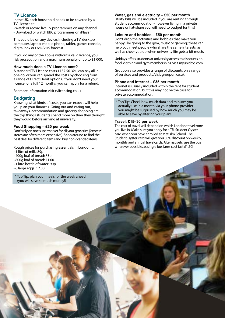### **TV Licence**

In the UK, each household needs to be covered by a TV Licence to:

- Watch or record live TV programmes on any channel
- Download or watch BBC programmes on iPlayer

This could be on any device, including a TV, desktop computer, laptop, mobile phone, tablet, games console, digital box or DVD/VHS forecast.

If you do any of the above without a valid licence, you risk prosecution and a maximum penalty of up to £1,000.

#### **How much does a TV Licence cost?**

A standard TV Licence costs £157.50. You can pay all in one go, or you can spread the costs by choosing from a range of Direct Debit options. If you don't need your licence for a full 12 months, you can apply for a refund.

For more information visit [tvlicensing.co.uk](http://tvlicensing.co.uk)

#### **Budgeting**

Knowing what kinds of costs, you can expect will help you plan your finances. Going out and eating out, takeaways, accommodation and grocery shopping are the top things students spend more on than they thought they would before arriving at university.

#### **Food Shopping – £30 per week**

Don't rely on one supermarket for all your groceries ('express' stores are often more expensive). Shop around to find the best deal for different items and buy non-branded items.

Rough prices for purchasing essentials in London…

- 1 litre of milk: 89p
- 400g loaf of bread: 85p
- 800g loaf of bread: £1:00
- 1 litre bottle of water: 90p
- 6 large eggs: £2.00
- \* Top Tip: plan your meals for the week ahead (you will save so much money!)

#### **Water, gas and electricity – £50 per month**

Utility bills will be included if you are renting through student accommodation- however living in a private house or flat-share you will need to budget for this!

#### **Leisure and hobbies – £50 per month**

Don't drop the activities and hobbies that make you happy like going to the gym, music or gaming; these can help you meet people who share the same interests, as well as cheer you up when university life gets a bit much.

Unidays offers students at university access to discounts on food, clothing and gym memberships. Visit [myunidays.com](http://myunidays.com)

Groupon also provides a range of discounts on a range of services and products. Visit [groupon.co.uk](http://groupon.co.uk ) 

#### **Phone and Internet – £35 per month**

Internet is usually included within the rent for student accommodation, but this may not be the case for private accommodation.

\* Top Tip: Check how much data and minutes you actually use in a month via your phone provider – you might be surprised by how much you may be able to save by altering your plan!

#### **Travel: £15–30 per week**

The cost of travel will depend on which London travel zone you live in. Make sure you apply for a TfL Student Oyster card when you have enrolled at MetFilm School. The Student Oyster card will give you 30% discount on weekly, monthly and annual travelcards. Alternatively, use the bus wherever possible, as single bus fares cost just £1.50!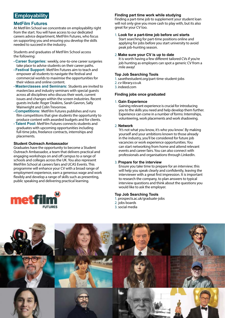## **Employability**

**MetFilm Futures**<br>At MetFilm School we concentrate on employability right from the start. You will have access to our dedicated careers advice department, MetFilm Futures, who focus on supporting you and ensuring you develop the skills needed to succeed in the industry.

Students and graduates of MetFilm School access the following:

- **Career Surgeries:** weekly, one-to-one career surgeries take place to advise students on their career paths.
- **Festival Support:** MetFilm Futures aim to teach and empower all students to navigate the festival and commercial worlds to maximise the opportunities for their videos and online content.
- **Masterclasses and Seminars:** Students are invited to masterclass and industry seminars with special guests across all disciplines who discuss their work, current issues and changes within the screen industries. Recent guests include: Roger Deakins, Sarah Gavron, Sally Wainwright and Colin Trevorrow.
- **Competitions:** MetFilm Futures publishes and runs film competitions that give students the opportunity to produce content with awarded budgets and for clients.
- **Talent Pool:** MetFilm Futures connects students and graduates with upcoming opportunities including full-time jobs, freelance contracts, internships and placements.

#### **Student Outreach Ambassador**

Graduates have the opportunity to become a Student Outreach Ambassador, a team that delivers practical and engaging workshops on and off campus to a range of schools and colleges across the UK. You also represent MetFilm School at careers fairs and UCAS Events. This programme will enhance your CV with a broad range of employment experience, earn a generous wage and work flexibly and develop a range of skills such as presenting, public speaking and delivering practical learning.



### **Finding part time work while studying**

Finding a part-time job to supplement your student loan will not only give you more cash to play with, but its also great for your CV too.

1. **Look for a part-time job before uni starts** Start searching for part-time positions online and applying for jobs before you start university to avoid peak job-hunting season.

#### 2. **Make sure your CV is up to date**

It is worth having a few different tailored CVs if you're job hunting as employers can spot a generic CV from a mile away!

#### **Top Job Searching Tools**

- 1.[savethestudent.org/part-time-student-jobs](http://savethestudent.org/part-time-student-jobs)
- 2. [cv-library.co.uk](http://cv-library.co.uk)
- 3. [indeed.com](http:// indeed.com)

#### **Finding jobs once graduated**

#### 1. **Gain Experience**

Gaining relevant experience is crucial for introducing you to the skills you need and help develop them further. Experience can come in a number of forms: Internships, volunteering, work placements and work shadowing.

#### 2. **Network**

'It's not what you know, it's who you know'. By making yourself and your ambitions known to those already in the industry, you'll be considered for future job vacancies or work experience opportunities. You can start networking from home and attend relevant events and career fairs. You can also connect with professionals and organisations through LinkedIn.

#### 3. **Prepare for the interview**

Ensure you take time to prepare for an interview; this will help you speak clearly and confidently, leaving the interviewer with a great first impression. It is important to research the company, to plan answers to typical interview questions and think about the questions you would like to ask the employer.

#### **Top Job Searching Tools**

- 1[. prospects.ac.uk/graduate-jobs](http://  prospects.ac.uk/graduate-jobs)
- 2. jobs boards
- 3. social media

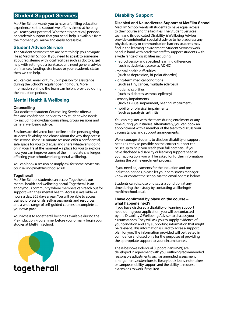## **Student Support Services**

MetFilm School wants you to have a fulfilling education experience, so the support we offer is aimed at helping you reach your potential. Whether it is practical, personal or academic support that you need, help is available from the moment you arrive and easily accessible.

### **Student Advice Service**

The Student Services team are here to help you navigate life at MetFilm School. If you need to speak to someone about registering with local facilities such as doctors, get help with setting up a bank account, need general advice on finances, funding, visa issues or your academic status then we can help.

You can call, email or turn up in person for assistance during the School's regular opening hours. More information on how the team can help is provided during the induction periods.

### **Mental Health & Wellbeing**

#### **Counselling**

Our dedicated student Counselling Service offers a free and confidential service to any student who needs it – including individual counselling, group sessions and general wellbeing advice.

Sessions are delivered both online and in person, giving students flexibility and choice about the way they access the service. These 50 minute sessions offer a confidential, safe space for you to discuss and share whatever is going on in your life at the moment – a place for you to explore how you can improve some of the immediate challenges affecting your schoolwork or general wellbeing.

You can book a session or simply ask for some advice via [counselling@metfilmschool.ac.uk](mailto:counselling%40metfilmschool.ac.uk?subject=)

#### **Togetherall**

MetFilm School students can access [Togetherall,](https://togetherall.com/en-gb/) our mental health and wellbeing portal. Togetherall is an anonymous community where members can reach out for support with their mental health. Access is available 24 hours a day, 365 days a year. You will be able to access trained professionals, self-assessments and resources and a wide range of self-guided courses to complete at your own pace.

Your access to Togetherall becomes available during the Pre-Induction Programme, before you formally begin your studies at MetFilm School.



### **Disability Support**

#### **Disabled and Neurodiverse Support at MetFilm School**

MetFilm School wants all students to have equal access to their course and the facilities. The Student Services team and its dedicated Disability & Wellbeing Adviser provide confidential, specialist advice to help address any physical, study or communication barriers students may find in the learning environment. Student Services work hand in hand with academic staff to support students with a wide range of disabilities including:

- neurodiversity and specified learning differences (such as dyslexia, dyspraxia, ADHD)
- mental health difficulties (such as depression, bi-polar disorder)
- long-term medical conditions (such as HIV, cancer, multiple sclerosis)
- hidden disabilities (such as diabetes, asthma, epilepsy)
- •sensory impairments (such as visual impairment, hearing impairment)
- mobility or physical impairments (such as paralysis, arthritis)

You can register with the team during enrolment or any time during your studies. Alternatively, you can book an appointment with a member of the team to discuss your circumstances and support arrangements.

We encourage students to disclose disability or support needs as early as possible, so the correct support can be set up to help you reach your full potential. If you have disclosed a disability or learning support need in your application, you will be asked for further information during the online enrolment process.

If you need adjustments for the induction and preinduction periods, please let your admissions manager know or contact the school via the email address below.

Students can disclose or discuss a condition at any time during their study by contacting [wellbeing@](mailto:wellbeing%40metfilmschool.ac.uk?subject=) [metfilmschool.ac.uk](mailto:wellbeing%40metfilmschool.ac.uk?subject=)

#### **I have confirmed by place on the course – what happens next?**

If you have disclosed a disability or learning support need during your application, you will be contacted by the Disability & Wellbeing Adviser to discuss your circumstances. They will ask you to supply evidence of your condition and any supporting information that might be relevant. This information is used to agree a support plan for you. The information provided will be treated in confidence and used only for the purposes of providing the appropriate support to your circumstances.

These bespoke Individual Support Plans (ISPs) are developed in agreement with you, outlining recommended reasonable adjustments such as amended assessment arrangements, extensions to library book loans, note-takers or campus mobility support and the ability to request extensions to work if required.